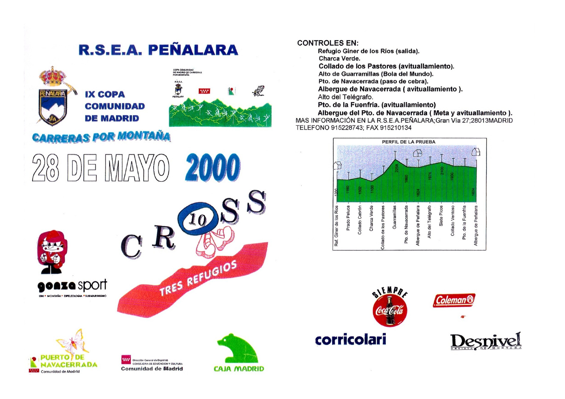## R.S.E.A. PEÑALARA



## **CARRERAS POR MONTAÑA**

Comunidad de Madrid



## **CONTROLES EN:**

Refugio Giner de los Ríos (salida).

Charca Verde.

Collado de los Pastores (avituallamiento).

Alto de Guarramillas (Bola del Mundo).

Pto, de Navacerrada (paso de cebra).

Alberque de Navacerrada (avituallamiento).

Alto del Telégrafo.

Pto. de la Fuenfría. (avituallamiento)

Albergue del Pto. de Navacerrada ( Meta y avituallamiento ). MAS INFORMACIÓN EN LA R.S.E.A.PEÑALARA: Gran Vía 27:28013MADRID TELEFONO 915228743: FAX 915210134



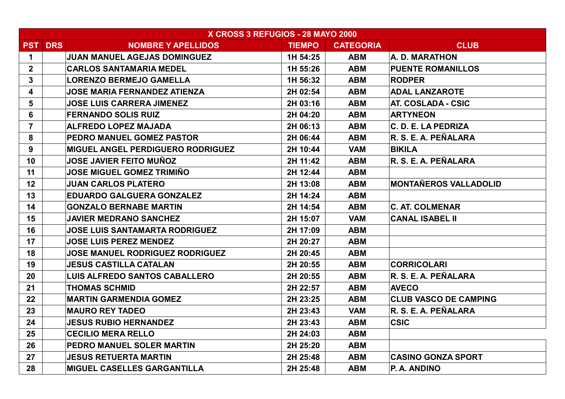| X CROSS 3 REFUGIOS - 28 MAYO 2000 |                |                                          |               |                  |                              |
|-----------------------------------|----------------|------------------------------------------|---------------|------------------|------------------------------|
|                                   | <b>PST DRS</b> | <b>NOMBRE Y APELLIDOS</b>                | <b>TIEMPO</b> | <b>CATEGORIA</b> | <b>CLUB</b>                  |
| $\mathbf 1$                       |                | <b>JUAN MANUEL AGEJAS DOMINGUEZ</b>      | 1H 54:25      | <b>ABM</b>       | A. D. MARATHON               |
| 2 <sup>1</sup>                    |                | <b>CARLOS SANTAMARIA MEDEL</b>           | 1H 55:26      | <b>ABM</b>       | <b>PUENTE ROMANILLOS</b>     |
| 3                                 |                | <b>LORENZO BERMEJO GAMELLA</b>           | 1H 56:32      | <b>ABM</b>       | <b>RODPER</b>                |
| 4                                 |                | <b>JOSE MARIA FERNANDEZ ATIENZA</b>      | 2H 02:54      | <b>ABM</b>       | <b>ADAL LANZAROTE</b>        |
| 5                                 |                | <b>JOSE LUIS CARRERA JIMENEZ</b>         | 2H 03:16      | <b>ABM</b>       | <b>AT. COSLADA - CSIC</b>    |
| 6                                 |                | <b>FERNANDO SOLIS RUIZ</b>               | 2H 04:20      | <b>ABM</b>       | <b>ARTYNEON</b>              |
| $\overline{7}$                    |                | <b>ALFREDO LOPEZ MAJADA</b>              | 2H 06:13      | <b>ABM</b>       | C. D. E. LA PEDRIZA          |
| 8                                 |                | PEDRO MANUEL GOMEZ PASTOR                | 2H 06:44      | <b>ABM</b>       | R. S. E. A. PEÑALARA         |
| 9                                 |                | <b>MIGUEL ANGEL PERDIGUERO RODRIGUEZ</b> | 2H 10:44      | <b>VAM</b>       | <b>BIKILA</b>                |
| 10                                |                | JOSE JAVIER FEITO MUÑOZ                  | 2H 11:42      | <b>ABM</b>       | R. S. E. A. PEÑALARA         |
| 11                                |                | JOSE MIGUEL GOMEZ TRIMIÑO                | 2H 12:44      | <b>ABM</b>       |                              |
| 12                                |                | <b>JUAN CARLOS PLATERO</b>               | 2H 13:08      | <b>ABM</b>       | <b>MONTAÑEROS VALLADOLID</b> |
| 13                                |                | <b>EDUARDO GALGUERA GONZALEZ</b>         | 2H 14:24      | <b>ABM</b>       |                              |
| 14                                |                | <b>GONZALO BERNABE MARTIN</b>            | 2H 14:54      | <b>ABM</b>       | <b>C. AT. COLMENAR</b>       |
| 15                                |                | <b>JAVIER MEDRANO SANCHEZ</b>            | 2H 15:07      | <b>VAM</b>       | <b>CANAL ISABEL II</b>       |
| 16                                |                | <b>JOSE LUIS SANTAMARTA RODRIGUEZ</b>    | 2H 17:09      | <b>ABM</b>       |                              |
| 17                                |                | <b>JOSE LUIS PEREZ MENDEZ</b>            | 2H 20:27      | <b>ABM</b>       |                              |
| 18                                |                | <b>JOSE MANUEL RODRIGUEZ RODRIGUEZ</b>   | 2H 20:45      | <b>ABM</b>       |                              |
| 19                                |                | <b>JESUS CASTILLA CATALAN</b>            | 2H 20:55      | <b>ABM</b>       | <b>CORRICOLARI</b>           |
| 20                                |                | <b>LUIS ALFREDO SANTOS CABALLERO</b>     | 2H 20:55      | <b>ABM</b>       | R. S. E. A. PEÑALARA         |
| 21                                |                | <b>THOMAS SCHMID</b>                     | 2H 22:57      | <b>ABM</b>       | <b>AVECO</b>                 |
| 22                                |                | <b>MARTIN GARMENDIA GOMEZ</b>            | 2H 23:25      | <b>ABM</b>       | <b>CLUB VASCO DE CAMPING</b> |
| 23                                |                | <b>MAURO REY TADEO</b>                   | 2H 23:43      | <b>VAM</b>       | R. S. E. A. PEÑALARA         |
| 24                                |                | <b>JESUS RUBIO HERNANDEZ</b>             | 2H 23:43      | <b>ABM</b>       | <b>CSIC</b>                  |
| 25                                |                | <b>CECILIO MERA RELLO</b>                | 2H 24:03      | <b>ABM</b>       |                              |
| 26                                |                | PEDRO MANUEL SOLER MARTIN                | 2H 25:20      | <b>ABM</b>       |                              |
| 27                                |                | <b>JESUS RETUERTA MARTIN</b>             | 2H 25:48      | <b>ABM</b>       | <b>CASINO GONZA SPORT</b>    |
| 28                                |                | <b>MIGUEL CASELLES GARGANTILLA</b>       | 2H 25:48      | <b>ABM</b>       | P. A. ANDINO                 |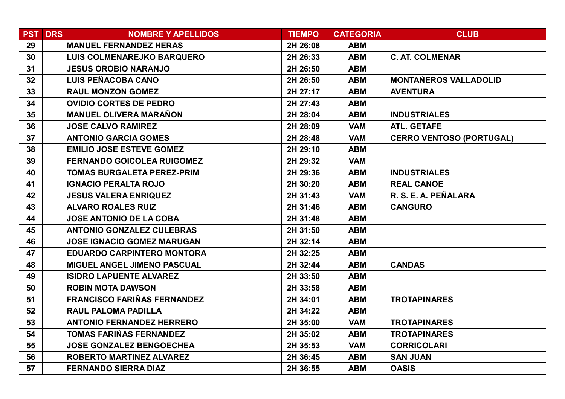| <b>PST</b> | <b>DRS</b> | <b>NOMBRE Y APELLIDOS</b>          | <b>TIEMPO</b> | <b>CATEGORIA</b> | <b>CLUB</b>                     |
|------------|------------|------------------------------------|---------------|------------------|---------------------------------|
| 29         |            | <b>MANUEL FERNANDEZ HERAS</b>      | 2H 26:08      | <b>ABM</b>       |                                 |
| 30         |            | <b>LUIS COLMENAREJKO BARQUERO</b>  | 2H 26:33      | <b>ABM</b>       | <b>C. AT. COLMENAR</b>          |
| 31         |            | <b>JESUS OROBIO NARANJO</b>        | 2H 26:50      | <b>ABM</b>       |                                 |
| 32         |            | <b>LUIS PEÑACOBA CANO</b>          | 2H 26:50      | <b>ABM</b>       | <b>MONTAÑEROS VALLADOLID</b>    |
| 33         |            | <b>RAUL MONZON GOMEZ</b>           | 2H 27:17      | <b>ABM</b>       | <b>AVENTURA</b>                 |
| 34         |            | <b>OVIDIO CORTES DE PEDRO</b>      | 2H 27:43      | <b>ABM</b>       |                                 |
| 35         |            | <b>MANUEL OLIVERA MARAÑON</b>      | 2H 28:04      | <b>ABM</b>       | <b>INDUSTRIALES</b>             |
| 36         |            | <b>JOSE CALVO RAMIREZ</b>          | 2H 28:09      | <b>VAM</b>       | <b>ATL. GETAFE</b>              |
| 37         |            | <b>ANTONIO GARCIA GOMES</b>        | 2H 28:48      | <b>VAM</b>       | <b>CERRO VENTOSO (PORTUGAL)</b> |
| 38         |            | <b>EMILIO JOSE ESTEVE GOMEZ</b>    | 2H 29:10      | <b>ABM</b>       |                                 |
| 39         |            | <b>FERNANDO GOICOLEA RUIGOMEZ</b>  | 2H 29:32      | <b>VAM</b>       |                                 |
| 40         |            | <b>TOMAS BURGALETA PEREZ-PRIM</b>  | 2H 29:36      | <b>ABM</b>       | <b>INDUSTRIALES</b>             |
| 41         |            | <b>IGNACIO PERALTA ROJO</b>        | 2H 30:20      | <b>ABM</b>       | <b>REAL CANOE</b>               |
| 42         |            | <b>JESUS VALERA ENRIQUEZ</b>       | 2H 31:43      | <b>VAM</b>       | R. S. E. A. PEÑALARA            |
| 43         |            | <b>ALVARO ROALES RUIZ</b>          | 2H 31:46      | <b>ABM</b>       | <b>CANGURO</b>                  |
| 44         |            | <b>JOSE ANTONIO DE LA COBA</b>     | 2H 31:48      | <b>ABM</b>       |                                 |
| 45         |            | <b>ANTONIO GONZALEZ CULEBRAS</b>   | 2H 31:50      | <b>ABM</b>       |                                 |
| 46         |            | <b>JOSE IGNACIO GOMEZ MARUGAN</b>  | 2H 32:14      | <b>ABM</b>       |                                 |
| 47         |            | <b>EDUARDO CARPINTERO MONTORA</b>  | 2H 32:25      | <b>ABM</b>       |                                 |
| 48         |            | <b>MIGUEL ANGEL JIMENO PASCUAL</b> | 2H 32:44      | <b>ABM</b>       | <b>CANDAS</b>                   |
| 49         |            | <b>ISIDRO LAPUENTE ALVAREZ</b>     | 2H 33:50      | <b>ABM</b>       |                                 |
| 50         |            | <b>ROBIN MOTA DAWSON</b>           | 2H 33:58      | <b>ABM</b>       |                                 |
| 51         |            | <b>FRANCISCO FARIÑAS FERNANDEZ</b> | 2H 34:01      | <b>ABM</b>       | <b>TROTAPINARES</b>             |
| 52         |            | <b>RAUL PALOMA PADILLA</b>         | 2H 34:22      | <b>ABM</b>       |                                 |
| 53         |            | <b>ANTONIO FERNANDEZ HERRERO</b>   | 2H 35:00      | <b>VAM</b>       | <b>TROTAPINARES</b>             |
| 54         |            | TOMAS FARIÑAS FERNANDEZ            | 2H 35:02      | <b>ABM</b>       | <b>TROTAPINARES</b>             |
| 55         |            | <b>JOSE GONZALEZ BENGOECHEA</b>    | 2H 35:53      | <b>VAM</b>       | <b>CORRICOLARI</b>              |
| 56         |            | <b>ROBERTO MARTINEZ ALVAREZ</b>    | 2H 36:45      | <b>ABM</b>       | <b>SAN JUAN</b>                 |
| 57         |            | <b>FERNANDO SIERRA DIAZ</b>        | 2H 36:55      | <b>ABM</b>       | <b>OASIS</b>                    |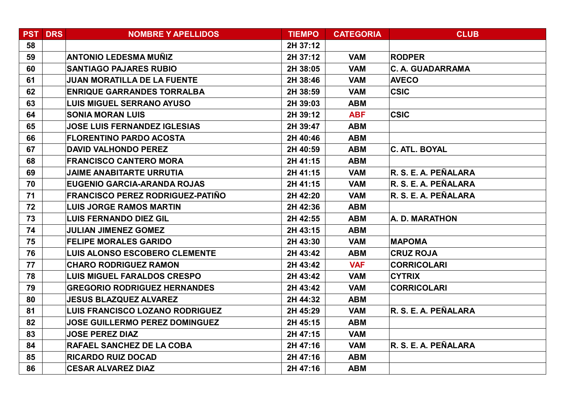| <b>PST</b> | DRS | <b>NOMBRE Y APELLIDOS</b>               | <b>TIEMPO</b> | <b>CATEGORIA</b> | <b>CLUB</b>             |
|------------|-----|-----------------------------------------|---------------|------------------|-------------------------|
| 58         |     |                                         | 2H 37:12      |                  |                         |
| 59         |     | <b>ANTONIO LEDESMA MUÑIZ</b>            | 2H 37:12      | <b>VAM</b>       | <b>RODPER</b>           |
| 60         |     | <b>SANTIAGO PAJARES RUBIO</b>           | 2H 38:05      | <b>VAM</b>       | <b>C. A. GUADARRAMA</b> |
| 61         |     | <b>JUAN MORATILLA DE LA FUENTE</b>      | 2H 38:46      | <b>VAM</b>       | <b>AVECO</b>            |
| 62         |     | <b>ENRIQUE GARRANDES TORRALBA</b>       | 2H 38:59      | <b>VAM</b>       | <b>CSIC</b>             |
| 63         |     | <b>LUIS MIGUEL SERRANO AYUSO</b>        | 2H 39:03      | <b>ABM</b>       |                         |
| 64         |     | <b>SONIA MORAN LUIS</b>                 | 2H 39:12      | <b>ABF</b>       | <b>CSIC</b>             |
| 65         |     | <b>JOSE LUIS FERNANDEZ IGLESIAS</b>     | 2H 39:47      | <b>ABM</b>       |                         |
| 66         |     | <b>FLORENTINO PARDO ACOSTA</b>          | 2H 40:46      | <b>ABM</b>       |                         |
| 67         |     | <b>DAVID VALHONDO PEREZ</b>             | 2H 40:59      | <b>ABM</b>       | <b>C. ATL. BOYAL</b>    |
| 68         |     | <b>FRANCISCO CANTERO MORA</b>           | 2H 41:15      | <b>ABM</b>       |                         |
| 69         |     | <b>JAIME ANABITARTE URRUTIA</b>         | 2H 41:15      | <b>VAM</b>       | R. S. E. A. PEÑALARA    |
| 70         |     | EUGENIO GARCIA-ARANDA ROJAS             | 2H 41:15      | <b>VAM</b>       | R. S. E. A. PEÑALARA    |
| 71         |     | <b>FRANCISCO PEREZ RODRIGUEZ-PATIÑO</b> | 2H 42:20      | <b>VAM</b>       | R. S. E. A. PEÑALARA    |
| 72         |     | <b>LUIS JORGE RAMOS MARTIN</b>          | 2H 42:36      | <b>ABM</b>       |                         |
| 73         |     | <b>LUIS FERNANDO DIEZ GIL</b>           | 2H 42:55      | <b>ABM</b>       | A. D. MARATHON          |
| 74         |     | <b>JULIAN JIMENEZ GOMEZ</b>             | 2H 43:15      | <b>ABM</b>       |                         |
| 75         |     | <b>FELIPE MORALES GARIDO</b>            | 2H 43:30      | <b>VAM</b>       | <b>MAPOMA</b>           |
| 76         |     | <b>LUIS ALONSO ESCOBERO CLEMENTE</b>    | 2H 43:42      | <b>ABM</b>       | <b>CRUZ ROJA</b>        |
| 77         |     | <b>CHARO RODRIGUEZ RAMON</b>            | 2H 43:42      | <b>VAF</b>       | <b>CORRICOLARI</b>      |
| 78         |     | <b>LUIS MIGUEL FARALDOS CRESPO</b>      | 2H 43:42      | <b>VAM</b>       | <b>CYTRIX</b>           |
| 79         |     | <b>GREGORIO RODRIGUEZ HERNANDES</b>     | 2H 43:42      | <b>VAM</b>       | <b>CORRICOLARI</b>      |
| 80         |     | <b>JESUS BLAZQUEZ ALVAREZ</b>           | 2H 44:32      | <b>ABM</b>       |                         |
| 81         |     | <b>LUIS FRANCISCO LOZANO RODRIGUEZ</b>  | 2H 45:29      | <b>VAM</b>       | R. S. E. A. PEÑALARA    |
| 82         |     | <b>JOSE GUILLERMO PEREZ DOMINGUEZ</b>   | 2H 45:15      | <b>ABM</b>       |                         |
| 83         |     | <b>JOSE PEREZ DIAZ</b>                  | 2H 47:15      | <b>VAM</b>       |                         |
| 84         |     | RAFAEL SANCHEZ DE LA COBA               | 2H 47:16      | <b>VAM</b>       | R. S. E. A. PEÑALARA    |
| 85         |     | <b>RICARDO RUIZ DOCAD</b>               | 2H 47:16      | <b>ABM</b>       |                         |
| 86         |     | <b>CESAR ALVAREZ DIAZ</b>               | 2H 47:16      | <b>ABM</b>       |                         |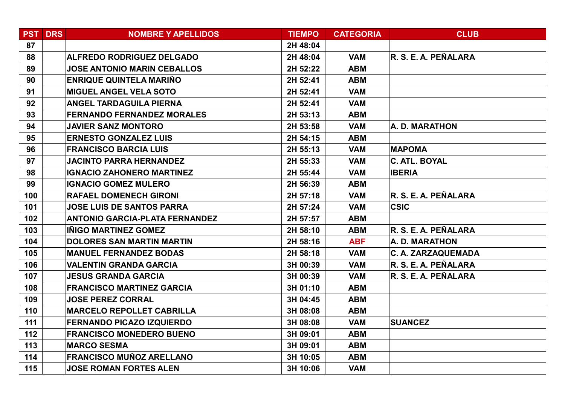|     | <b>PST DRS</b> | <b>NOMBRE Y APELLIDOS</b>             | <b>TIEMPO</b> | <b>CATEGORIA</b> | <b>CLUB</b>               |
|-----|----------------|---------------------------------------|---------------|------------------|---------------------------|
| 87  |                |                                       | 2H 48:04      |                  |                           |
| 88  |                | <b>ALFREDO RODRIGUEZ DELGADO</b>      | 2H 48:04      | <b>VAM</b>       | R. S. E. A. PEÑALARA      |
| 89  |                | <b>JOSE ANTONIO MARIN CEBALLOS</b>    | 2H 52:22      | <b>ABM</b>       |                           |
| 90  |                | <b>ENRIQUE QUINTELA MARIÑO</b>        | 2H 52:41      | <b>ABM</b>       |                           |
| 91  |                | <b>MIGUEL ANGEL VELA SOTO</b>         | 2H 52:41      | <b>VAM</b>       |                           |
| 92  |                | <b>ANGEL TARDAGUILA PIERNA</b>        | 2H 52:41      | <b>VAM</b>       |                           |
| 93  |                | <b>FERNANDO FERNANDEZ MORALES</b>     | 2H 53:13      | <b>ABM</b>       |                           |
| 94  |                | <b>JAVIER SANZ MONTORO</b>            | 2H 53:58      | <b>VAM</b>       | A. D. MARATHON            |
| 95  |                | <b>ERNESTO GONZALEZ LUIS</b>          | 2H 54:15      | <b>ABM</b>       |                           |
| 96  |                | <b>FRANCISCO BARCIA LUIS</b>          | 2H 55:13      | <b>VAM</b>       | <b>MAPOMA</b>             |
| 97  |                | <b>JACINTO PARRA HERNANDEZ</b>        | 2H 55:33      | <b>VAM</b>       | <b>C. ATL. BOYAL</b>      |
| 98  |                | <b>IGNACIO ZAHONERO MARTINEZ</b>      | 2H 55:44      | <b>VAM</b>       | <b>IBERIA</b>             |
| 99  |                | <b>IGNACIO GOMEZ MULERO</b>           | 2H 56:39      | <b>ABM</b>       |                           |
| 100 |                | <b>RAFAEL DOMENECH GIRONI</b>         | 2H 57:18      | <b>VAM</b>       | R. S. E. A. PEÑALARA      |
| 101 |                | <b>JOSE LUIS DE SANTOS PARRA</b>      | 2H 57:24      | <b>VAM</b>       | <b>CSIC</b>               |
| 102 |                | <b>ANTONIO GARCIA-PLATA FERNANDEZ</b> | 2H 57:57      | <b>ABM</b>       |                           |
| 103 |                | INIGO MARTINEZ GOMEZ                  | 2H 58:10      | <b>ABM</b>       | R. S. E. A. PEÑALARA      |
| 104 |                | <b>DOLORES SAN MARTIN MARTIN</b>      | 2H 58:16      | <b>ABF</b>       | A. D. MARATHON            |
| 105 |                | <b>MANUEL FERNANDEZ BODAS</b>         | 2H 58:18      | <b>VAM</b>       | <b>C. A. ZARZAQUEMADA</b> |
| 106 |                | <b>VALENTIN GRANDA GARCIA</b>         | 3H 00:39      | <b>VAM</b>       | R. S. E. A. PEÑALARA      |
| 107 |                | <b>JESUS GRANDA GARCIA</b>            | 3H 00:39      | <b>VAM</b>       | R. S. E. A. PEÑALARA      |
| 108 |                | <b>FRANCISCO MARTINEZ GARCIA</b>      | 3H 01:10      | <b>ABM</b>       |                           |
| 109 |                | <b>JOSE PEREZ CORRAL</b>              | 3H 04:45      | <b>ABM</b>       |                           |
| 110 |                | <b>MARCELO REPOLLET CABRILLA</b>      | 3H 08:08      | <b>ABM</b>       |                           |
| 111 |                | <b>FERNANDO PICAZO IZQUIERDO</b>      | 3H 08:08      | <b>VAM</b>       | <b>SUANCEZ</b>            |
| 112 |                | <b>FRANCISCO MONEDERO BUENO</b>       | 3H 09:01      | <b>ABM</b>       |                           |
| 113 |                | <b>MARCO SESMA</b>                    | 3H 09:01      | <b>ABM</b>       |                           |
| 114 |                | <b>FRANCISCO MUÑOZ ARELLANO</b>       | 3H 10:05      | <b>ABM</b>       |                           |
| 115 |                | <b>JOSE ROMAN FORTES ALEN</b>         | 3H 10:06      | <b>VAM</b>       |                           |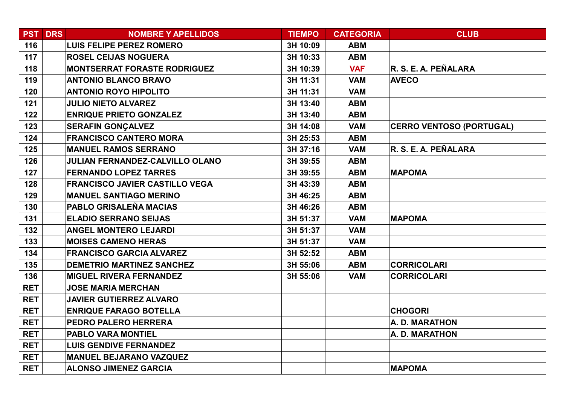|            | <b>PST DRS</b> | <b>NOMBRE Y APELLIDOS</b>              | <b>TIEMPO</b> | <b>CATEGORIA</b> | <b>CLUB</b>                     |
|------------|----------------|----------------------------------------|---------------|------------------|---------------------------------|
| 116        |                | <b>LUIS FELIPE PEREZ ROMERO</b>        | 3H 10:09      | <b>ABM</b>       |                                 |
| 117        |                | <b>ROSEL CEIJAS NOGUERA</b>            | 3H 10:33      | <b>ABM</b>       |                                 |
| 118        |                | <b>MONTSERRAT FORASTE RODRIGUEZ</b>    | 3H 10:39      | <b>VAF</b>       | R. S. E. A. PEÑALARA            |
| 119        |                | <b>ANTONIO BLANCO BRAVO</b>            | 3H 11:31      | <b>VAM</b>       | <b>AVECO</b>                    |
| 120        |                | <b>ANTONIO ROYO HIPOLITO</b>           | 3H 11:31      | <b>VAM</b>       |                                 |
| 121        |                | <b>JULIO NIETO ALVAREZ</b>             | 3H 13:40      | <b>ABM</b>       |                                 |
| 122        |                | <b>ENRIQUE PRIETO GONZALEZ</b>         | 3H 13:40      | <b>ABM</b>       |                                 |
| 123        |                | <b>SERAFIN GONÇALVEZ</b>               | 3H 14:08      | <b>VAM</b>       | <b>CERRO VENTOSO (PORTUGAL)</b> |
| 124        |                | <b>FRANCISCO CANTERO MORA</b>          | 3H 25:53      | <b>ABM</b>       |                                 |
| 125        |                | <b>MANUEL RAMOS SERRANO</b>            | 3H 37:16      | <b>VAM</b>       | R. S. E. A. PEÑALARA            |
| 126        |                | <b>JULIAN FERNANDEZ-CALVILLO OLANO</b> | 3H 39:55      | <b>ABM</b>       |                                 |
| 127        |                | <b>FERNANDO LOPEZ TARRES</b>           | 3H 39:55      | <b>ABM</b>       | <b>MAPOMA</b>                   |
| 128        |                | <b>FRANCISCO JAVIER CASTILLO VEGA</b>  | 3H 43:39      | <b>ABM</b>       |                                 |
| 129        |                | <b>MANUEL SANTIAGO MERINO</b>          | 3H 46:25      | <b>ABM</b>       |                                 |
| 130        |                | PABLO GRISALEÑA MACIAS                 | 3H 46:26      | <b>ABM</b>       |                                 |
| 131        |                | <b>ELADIO SERRANO SEIJAS</b>           | 3H 51:37      | <b>VAM</b>       | <b>MAPOMA</b>                   |
| 132        |                | <b>ANGEL MONTERO LEJARDI</b>           | 3H 51:37      | <b>VAM</b>       |                                 |
| 133        |                | <b>MOISES CAMENO HERAS</b>             | 3H 51:37      | <b>VAM</b>       |                                 |
| 134        |                | <b>FRANCISCO GARCIA ALVAREZ</b>        | 3H 52:52      | <b>ABM</b>       |                                 |
| 135        |                | <b>DEMETRIO MARTINEZ SANCHEZ</b>       | 3H 55:06      | <b>ABM</b>       | <b>CORRICOLARI</b>              |
| 136        |                | <b>MIGUEL RIVERA FERNANDEZ</b>         | 3H 55:06      | <b>VAM</b>       | <b>CORRICOLARI</b>              |
| <b>RET</b> |                | <b>JOSE MARIA MERCHAN</b>              |               |                  |                                 |
| <b>RET</b> |                | <b>JAVIER GUTIERREZ ALVARO</b>         |               |                  |                                 |
| <b>RET</b> |                | <b>ENRIQUE FARAGO BOTELLA</b>          |               |                  | <b>CHOGORI</b>                  |
| <b>RET</b> |                | PEDRO PALERO HERRERA                   |               |                  | A. D. MARATHON                  |
| <b>RET</b> |                | <b>PABLO VARA MONTIEL</b>              |               |                  | A. D. MARATHON                  |
| <b>RET</b> |                | <b>LUIS GENDIVE FERNANDEZ</b>          |               |                  |                                 |
| <b>RET</b> |                | <b>MANUEL BEJARANO VAZQUEZ</b>         |               |                  |                                 |
| <b>RET</b> |                | <b>ALONSO JIMENEZ GARCIA</b>           |               |                  | <b>MAPOMA</b>                   |